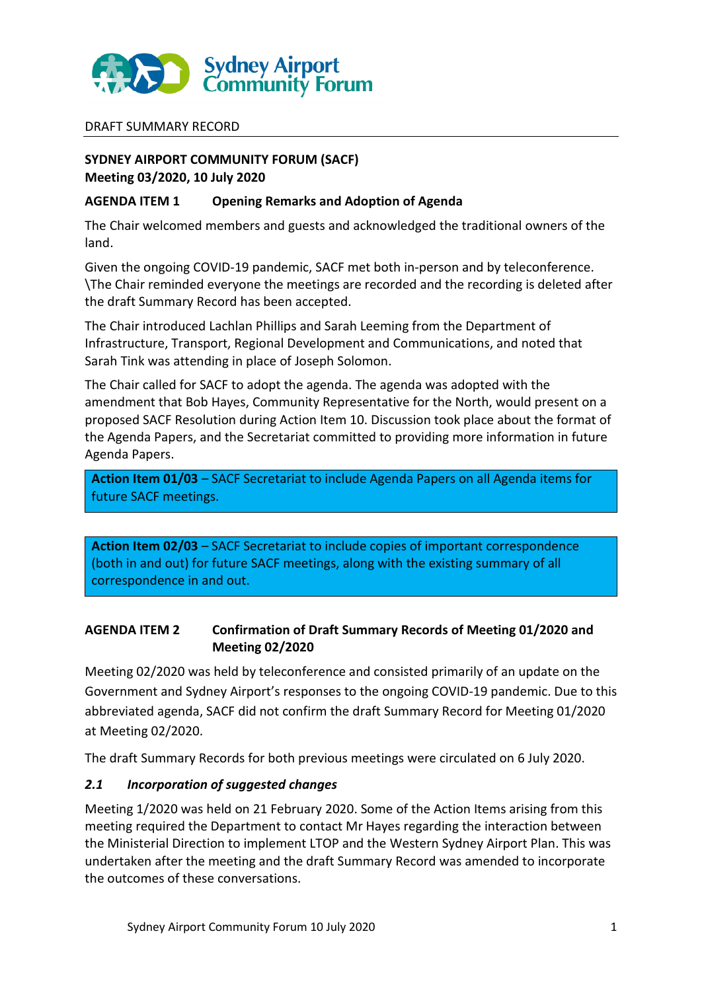

#### DRAFT SUMMARY RECORD

## **SYDNEY AIRPORT COMMUNITY FORUM (SACF) Meeting 03/2020, 10 July 2020**

#### **AGENDA ITEM 1 Opening Remarks and Adoption of Agenda**

The Chair welcomed members and guests and acknowledged the traditional owners of the land.

Given the ongoing COVID-19 pandemic, SACF met both in-person and by teleconference. \The Chair reminded everyone the meetings are recorded and the recording is deleted after the draft Summary Record has been accepted.

The Chair introduced Lachlan Phillips and Sarah Leeming from the Department of Infrastructure, Transport, Regional Development and Communications, and noted that Sarah Tink was attending in place of Joseph Solomon.

The Chair called for SACF to adopt the agenda. The agenda was adopted with the amendment that Bob Hayes, Community Representative for the North, would present on a proposed SACF Resolution during Action Item 10. Discussion took place about the format of the Agenda Papers, and the Secretariat committed to providing more information in future Agenda Papers.

**Action Item 01/03** – SACF Secretariat to include Agenda Papers on all Agenda items for future SACF meetings.

**Action Item 02/03** – SACF Secretariat to include copies of important correspondence (both in and out) for future SACF meetings, along with the existing summary of all correspondence in and out.

## **AGENDA ITEM 2 Confirmation of Draft Summary Records of Meeting 01/2020 and Meeting 02/2020**

Meeting 02/2020 was held by teleconference and consisted primarily of an update on the Government and Sydney Airport's responses to the ongoing COVID-19 pandemic. Due to this abbreviated agenda, SACF did not confirm the draft Summary Record for Meeting 01/2020 at Meeting 02/2020.

The draft Summary Records for both previous meetings were circulated on 6 July 2020.

## *2.1 Incorporation of suggested changes*

Meeting 1/2020 was held on 21 February 2020. Some of the Action Items arising from this meeting required the Department to contact Mr Hayes regarding the interaction between the Ministerial Direction to implement LTOP and the Western Sydney Airport Plan. This was undertaken after the meeting and the draft Summary Record was amended to incorporate the outcomes of these conversations.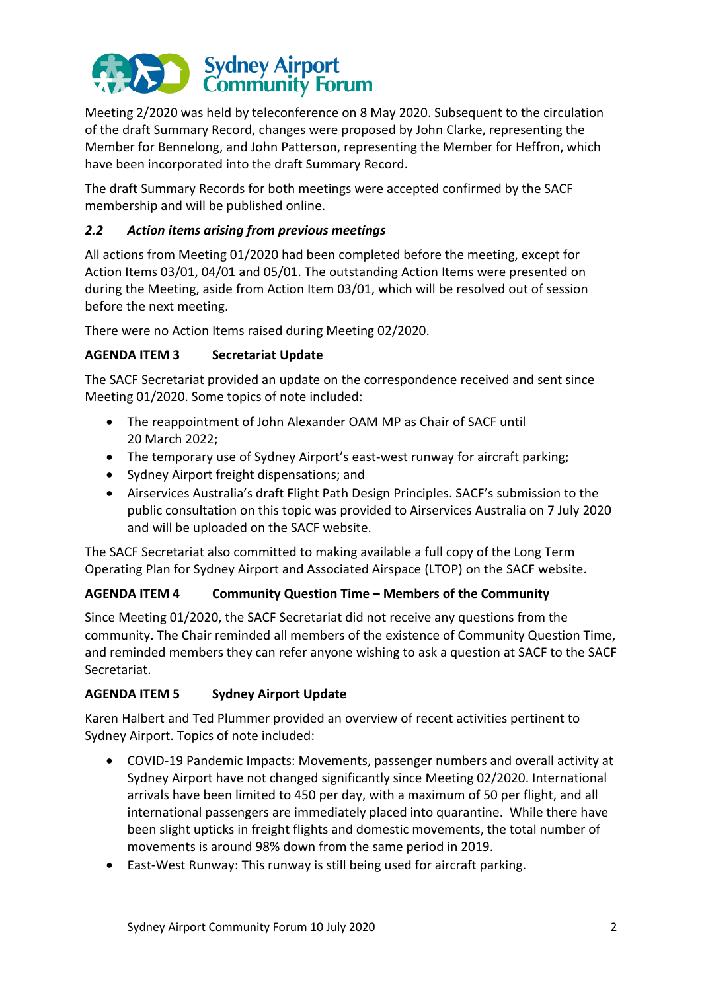

Meeting 2/2020 was held by teleconference on 8 May 2020. Subsequent to the circulation of the draft Summary Record, changes were proposed by John Clarke, representing the Member for Bennelong, and John Patterson, representing the Member for Heffron, which have been incorporated into the draft Summary Record.

The draft Summary Records for both meetings were accepted confirmed by the SACF membership and will be published online.

## *2.2 Action items arising from previous meetings*

All actions from Meeting 01/2020 had been completed before the meeting, except for Action Items 03/01, 04/01 and 05/01. The outstanding Action Items were presented on during the Meeting, aside from Action Item 03/01, which will be resolved out of session before the next meeting.

There were no Action Items raised during Meeting 02/2020.

# **AGENDA ITEM 3 Secretariat Update**

The SACF Secretariat provided an update on the correspondence received and sent since Meeting 01/2020. Some topics of note included:

- The reappointment of John Alexander OAM MP as Chair of SACF until 20 March 2022;
- The temporary use of Sydney Airport's east-west runway for aircraft parking;
- Sydney Airport freight dispensations; and
- Airservices Australia's draft Flight Path Design Principles. SACF's submission to the public consultation on this topic was provided to Airservices Australia on 7 July 2020 and will be uploaded on the SACF website.

The SACF Secretariat also committed to making available a full copy of the Long Term Operating Plan for Sydney Airport and Associated Airspace (LTOP) on the SACF website.

## **AGENDA ITEM 4 Community Question Time – Members of the Community**

Since Meeting 01/2020, the SACF Secretariat did not receive any questions from the community. The Chair reminded all members of the existence of Community Question Time, and reminded members they can refer anyone wishing to ask a question at SACF to the SACF Secretariat.

## **AGENDA ITEM 5 Sydney Airport Update**

Karen Halbert and Ted Plummer provided an overview of recent activities pertinent to Sydney Airport. Topics of note included:

- COVID-19 Pandemic Impacts: Movements, passenger numbers and overall activity at Sydney Airport have not changed significantly since Meeting 02/2020. International arrivals have been limited to 450 per day, with a maximum of 50 per flight, and all international passengers are immediately placed into quarantine. While there have been slight upticks in freight flights and domestic movements, the total number of movements is around 98% down from the same period in 2019.
- East-West Runway: This runway is still being used for aircraft parking.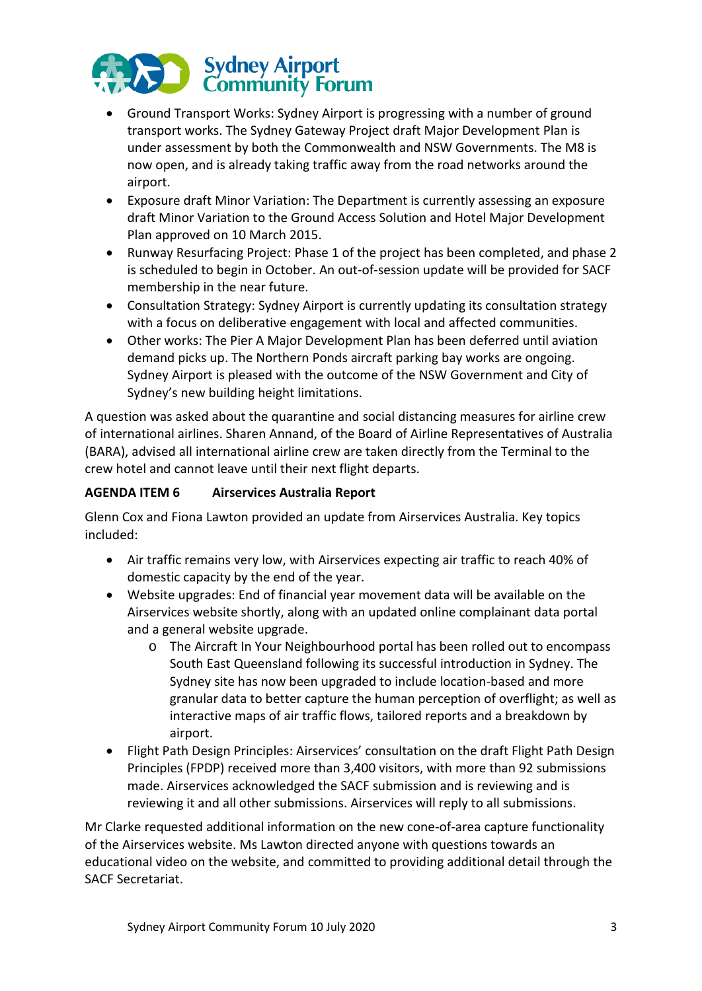

- Ground Transport Works: Sydney Airport is progressing with a number of ground transport works. The Sydney Gateway Project draft Major Development Plan is under assessment by both the Commonwealth and NSW Governments. The M8 is now open, and is already taking traffic away from the road networks around the airport.
- Exposure draft Minor Variation: The Department is currently assessing an exposure draft Minor Variation to the Ground Access Solution and Hotel Major Development Plan approved on 10 March 2015.
- Runway Resurfacing Project: Phase 1 of the project has been completed, and phase 2 is scheduled to begin in October. An out-of-session update will be provided for SACF membership in the near future.
- Consultation Strategy: Sydney Airport is currently updating its consultation strategy with a focus on deliberative engagement with local and affected communities.
- Other works: The Pier A Major Development Plan has been deferred until aviation demand picks up. The Northern Ponds aircraft parking bay works are ongoing. Sydney Airport is pleased with the outcome of the NSW Government and City of Sydney's new building height limitations.

A question was asked about the quarantine and social distancing measures for airline crew of international airlines. Sharen Annand, of the Board of Airline Representatives of Australia (BARA), advised all international airline crew are taken directly from the Terminal to the crew hotel and cannot leave until their next flight departs.

# **AGENDA ITEM 6 Airservices Australia Report**

Glenn Cox and Fiona Lawton provided an update from Airservices Australia. Key topics included:

- Air traffic remains very low, with Airservices expecting air traffic to reach 40% of domestic capacity by the end of the year.
- Website upgrades: End of financial year movement data will be available on the Airservices website shortly, along with an updated online complainant data portal and a general website upgrade.
	- o The Aircraft In Your Neighbourhood portal has been rolled out to encompass South East Queensland following its successful introduction in Sydney. The Sydney site has now been upgraded to include location-based and more granular data to better capture the human perception of overflight; as well as interactive maps of air traffic flows, tailored reports and a breakdown by airport.
- Flight Path Design Principles: Airservices' consultation on the draft Flight Path Design Principles (FPDP) received more than 3,400 visitors, with more than 92 submissions made. Airservices acknowledged the SACF submission and is reviewing and is reviewing it and all other submissions. Airservices will reply to all submissions.

Mr Clarke requested additional information on the new cone-of-area capture functionality of the Airservices website. Ms Lawton directed anyone with questions towards an educational video on the website, and committed to providing additional detail through the SACF Secretariat.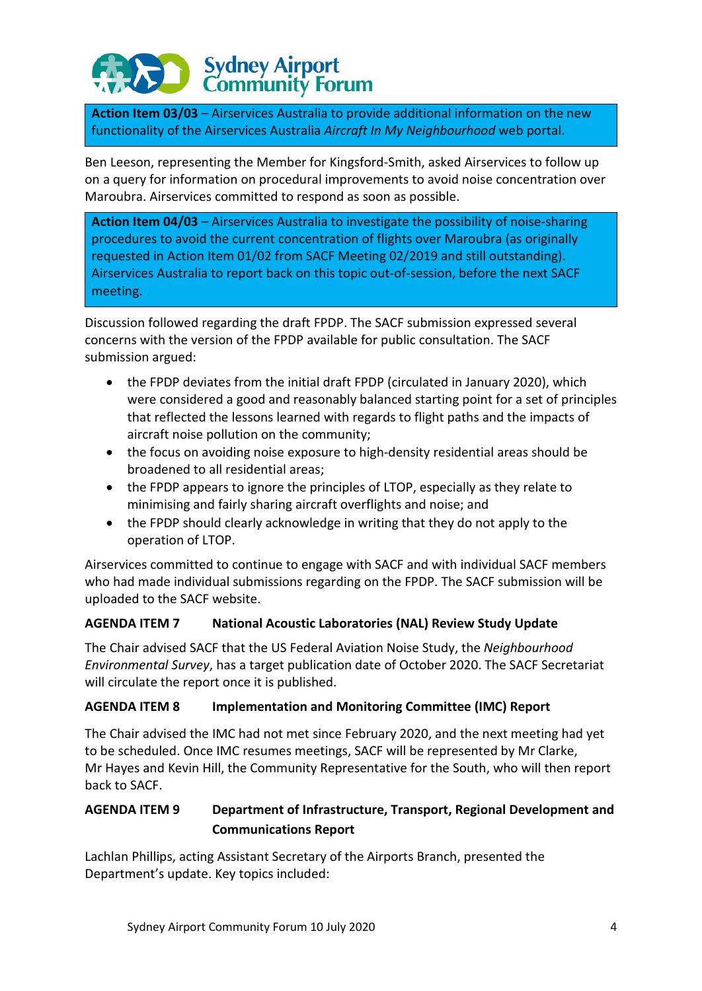# **Sydney Airport**<br>Community Forum

**Action Item 03/03** – Airservices Australia to provide additional information on the new functionality of the Airservices Australia *Aircraft In My Neighbourhood* web portal.

Ben Leeson, representing the Member for Kingsford-Smith, asked Airservices to follow up on a query for information on procedural improvements to avoid noise concentration over Maroubra. Airservices committed to respond as soon as possible.

**Action Item 04/03** – Airservices Australia to investigate the possibility of noise-sharing procedures to avoid the current concentration of flights over Maroubra (as originally requested in Action Item 01/02 from SACF Meeting 02/2019 and still outstanding). Airservices Australia to report back on this topic out-of-session, before the next SACF meeting.

Discussion followed regarding the draft FPDP. The SACF submission expressed several concerns with the version of the FPDP available for public consultation. The SACF submission argued:

- the FPDP deviates from the initial draft FPDP (circulated in January 2020), which were considered a good and reasonably balanced starting point for a set of principles that reflected the lessons learned with regards to flight paths and the impacts of aircraft noise pollution on the community;
- the focus on avoiding noise exposure to high-density residential areas should be broadened to all residential areas;
- the FPDP appears to ignore the principles of LTOP, especially as they relate to minimising and fairly sharing aircraft overflights and noise; and
- the FPDP should clearly acknowledge in writing that they do not apply to the operation of LTOP.

Airservices committed to continue to engage with SACF and with individual SACF members who had made individual submissions regarding on the FPDP. The SACF submission will be uploaded to the SACF website.

# **AGENDA ITEM 7 National Acoustic Laboratories (NAL) Review Study Update**

The Chair advised SACF that the US Federal Aviation Noise Study, the *Neighbourhood Environmental Survey*, has a target publication date of October 2020. The SACF Secretariat will circulate the report once it is published.

# **AGENDA ITEM 8 Implementation and Monitoring Committee (IMC) Report**

The Chair advised the IMC had not met since February 2020, and the next meeting had yet to be scheduled. Once IMC resumes meetings, SACF will be represented by Mr Clarke, Mr Hayes and Kevin Hill, the Community Representative for the South, who will then report back to SACF.

# **AGENDA ITEM 9 Department of Infrastructure, Transport, Regional Development and Communications Report**

Lachlan Phillips, acting Assistant Secretary of the Airports Branch, presented the Department's update. Key topics included: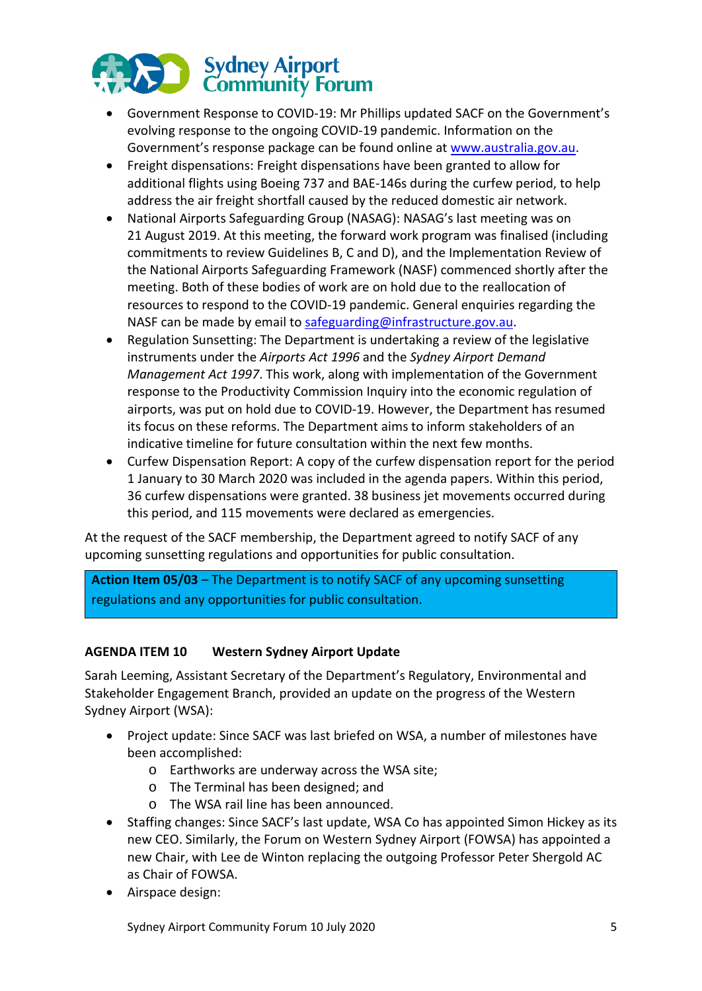

- Government Response to COVID-19: Mr Phillips updated SACF on the Government's evolving response to the ongoing COVID-19 pandemic. Information on the Government's response package can be found online at [www.australia.gov.au.](http://www.australia.gov.au/)
- Freight dispensations: Freight dispensations have been granted to allow for additional flights using Boeing 737 and BAE-146s during the curfew period, to help address the air freight shortfall caused by the reduced domestic air network.
- National Airports Safeguarding Group (NASAG): NASAG's last meeting was on 21 August 2019. At this meeting, the forward work program was finalised (including commitments to review Guidelines B, C and D), and the Implementation Review of the National Airports Safeguarding Framework (NASF) commenced shortly after the meeting. Both of these bodies of work are on hold due to the reallocation of resources to respond to the COVID-19 pandemic. General enquiries regarding the NASF can be made by email t[o safeguarding@infrastructure.gov.au.](mailto:safeguarding@infrastructure.gov.au)
- Regulation Sunsetting: The Department is undertaking a review of the legislative instruments under the *Airports Act 1996* and the *Sydney Airport Demand Management Act 1997*. This work, along with implementation of the Government response to the Productivity Commission Inquiry into the economic regulation of airports, was put on hold due to COVID-19. However, the Department has resumed its focus on these reforms. The Department aims to inform stakeholders of an indicative timeline for future consultation within the next few months.
- Curfew Dispensation Report: A copy of the curfew dispensation report for the period 1 January to 30 March 2020 was included in the agenda papers. Within this period, 36 curfew dispensations were granted. 38 business jet movements occurred during this period, and 115 movements were declared as emergencies.

At the request of the SACF membership, the Department agreed to notify SACF of any upcoming sunsetting regulations and opportunities for public consultation.

**Action Item 05/03** – The Department is to notify SACF of any upcoming sunsetting regulations and any opportunities for public consultation.

## **AGENDA ITEM 10 Western Sydney Airport Update**

Sarah Leeming, Assistant Secretary of the Department's Regulatory, Environmental and Stakeholder Engagement Branch, provided an update on the progress of the Western Sydney Airport (WSA):

- Project update: Since SACF was last briefed on WSA, a number of milestones have been accomplished:
	- o Earthworks are underway across the WSA site;
	- o The Terminal has been designed; and
	- o The WSA rail line has been announced.
- Staffing changes: Since SACF's last update, WSA Co has appointed Simon Hickey as its new CEO. Similarly, the Forum on Western Sydney Airport (FOWSA) has appointed a new Chair, with Lee de Winton replacing the outgoing Professor Peter Shergold AC as Chair of FOWSA.
- Airspace design:

Sydney Airport Community Forum 10 July 2020 5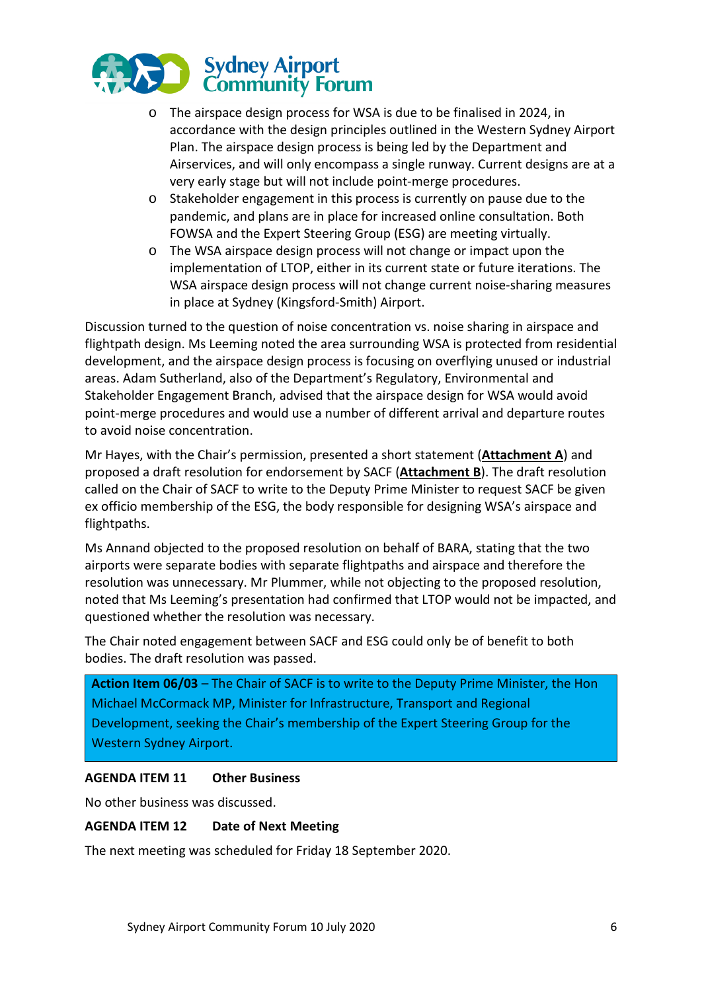

- o The airspace design process for WSA is due to be finalised in 2024, in accordance with the design principles outlined in the Western Sydney Airport Plan. The airspace design process is being led by the Department and Airservices, and will only encompass a single runway. Current designs are at a very early stage but will not include point-merge procedures.
- o Stakeholder engagement in this process is currently on pause due to the pandemic, and plans are in place for increased online consultation. Both FOWSA and the Expert Steering Group (ESG) are meeting virtually.
- o The WSA airspace design process will not change or impact upon the implementation of LTOP, either in its current state or future iterations. The WSA airspace design process will not change current noise-sharing measures in place at Sydney (Kingsford-Smith) Airport.

Discussion turned to the question of noise concentration vs. noise sharing in airspace and flightpath design. Ms Leeming noted the area surrounding WSA is protected from residential development, and the airspace design process is focusing on overflying unused or industrial areas. Adam Sutherland, also of the Department's Regulatory, Environmental and Stakeholder Engagement Branch, advised that the airspace design for WSA would avoid point-merge procedures and would use a number of different arrival and departure routes to avoid noise concentration.

Mr Hayes, with the Chair's permission, presented a short statement (**Attachment A**) and proposed a draft resolution for endorsement by SACF (**Attachment B**). The draft resolution called on the Chair of SACF to write to the Deputy Prime Minister to request SACF be given ex officio membership of the ESG, the body responsible for designing WSA's airspace and flightpaths.

Ms Annand objected to the proposed resolution on behalf of BARA, stating that the two airports were separate bodies with separate flightpaths and airspace and therefore the resolution was unnecessary. Mr Plummer, while not objecting to the proposed resolution, noted that Ms Leeming's presentation had confirmed that LTOP would not be impacted, and questioned whether the resolution was necessary.

The Chair noted engagement between SACF and ESG could only be of benefit to both bodies. The draft resolution was passed.

**Action Item 06/03** – The Chair of SACF is to write to the Deputy Prime Minister, the Hon Michael McCormack MP, Minister for Infrastructure, Transport and Regional Development, seeking the Chair's membership of the Expert Steering Group for the Western Sydney Airport.

#### **AGENDA ITEM 11 Other Business**

No other business was discussed.

#### **AGENDA ITEM 12 Date of Next Meeting**

The next meeting was scheduled for Friday 18 September 2020.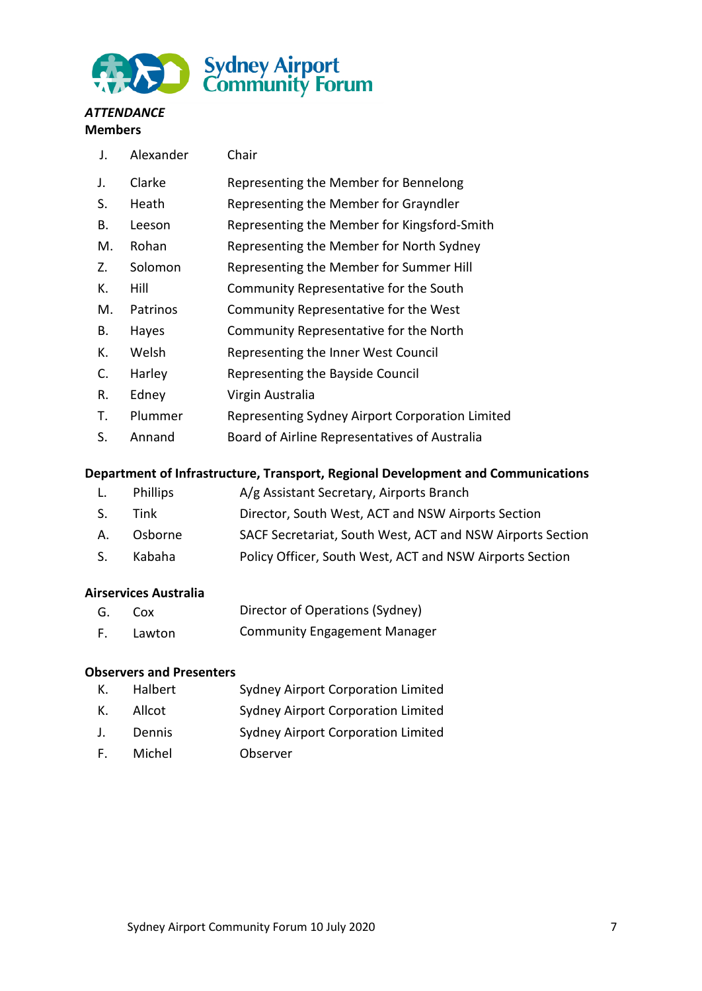

#### *ATTENDANCE*  **Members**

| J. | Alexander | Chair                                           |  |
|----|-----------|-------------------------------------------------|--|
| J. | Clarke    | Representing the Member for Bennelong           |  |
| S. | Heath     | Representing the Member for Grayndler           |  |
| В. | Leeson    | Representing the Member for Kingsford-Smith     |  |
| М. | Rohan     | Representing the Member for North Sydney        |  |
| Z. | Solomon   | Representing the Member for Summer Hill         |  |
| К. | Hill      | Community Representative for the South          |  |
| M. | Patrinos  | Community Representative for the West           |  |
| В. | Hayes     | Community Representative for the North          |  |
| К. | Welsh     | Representing the Inner West Council             |  |
| C. | Harley    | Representing the Bayside Council                |  |
| R. | Edney     | Virgin Australia                                |  |
| Τ. | Plummer   | Representing Sydney Airport Corporation Limited |  |

S. Annand Board of Airline Representatives of Australia

## **Department of Infrastructure, Transport, Regional Development and Communications**

- L. Phillips A/g Assistant Secretary, Airports Branch S. Tink Director, South West, ACT and NSW Airports Section
- A. Osborne SACF Secretariat, South West, ACT and NSW Airports Section
- S. Kabaha Policy Officer, South West, ACT and NSW Airports Section

## **Airservices Australia**

| G. | COX.   | Director of Operations (Sydney)     |
|----|--------|-------------------------------------|
|    | Lawton | <b>Community Engagement Manager</b> |

## **Observers and Presenters**

- K. Halbert Sydney Airport Corporation Limited K. Allcot Sydney Airport Corporation Limited
- J. Dennis Sydney Airport Corporation Limited
- F. Michel Observer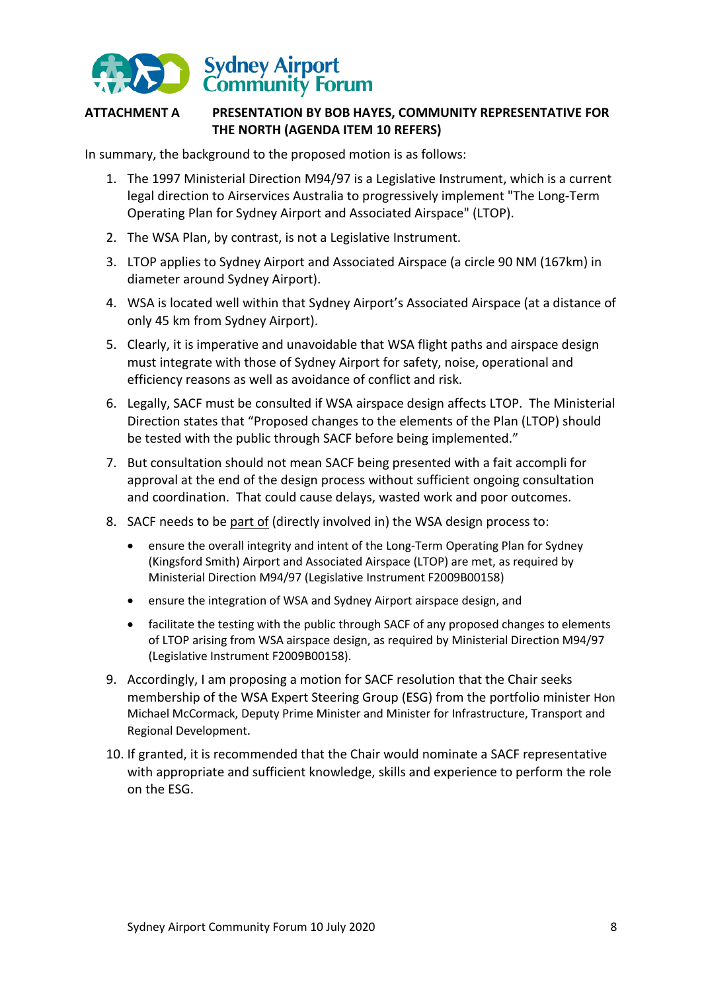

## **ATTACHMENT A PRESENTATION BY BOB HAYES, COMMUNITY REPRESENTATIVE FOR THE NORTH (AGENDA ITEM 10 REFERS)**

In summary, the background to the proposed motion is as follows:

- 1. The 1997 Ministerial Direction M94/97 is a Legislative Instrument, which is a current legal direction to Airservices Australia to progressively implement "The Long-Term Operating Plan for Sydney Airport and Associated Airspace" (LTOP).
- 2. The WSA Plan, by contrast, is not a Legislative Instrument.
- 3. LTOP applies to Sydney Airport and Associated Airspace (a circle 90 NM (167km) in diameter around Sydney Airport).
- 4. WSA is located well within that Sydney Airport's Associated Airspace (at a distance of only 45 km from Sydney Airport).
- 5. Clearly, it is imperative and unavoidable that WSA flight paths and airspace design must integrate with those of Sydney Airport for safety, noise, operational and efficiency reasons as well as avoidance of conflict and risk.
- 6. Legally, SACF must be consulted if WSA airspace design affects LTOP. The Ministerial Direction states that "Proposed changes to the elements of the Plan (LTOP) should be tested with the public through SACF before being implemented."
- 7. But consultation should not mean SACF being presented with a fait accompli for approval at the end of the design process without sufficient ongoing consultation and coordination. That could cause delays, wasted work and poor outcomes.
- 8. SACF needs to be part of (directly involved in) the WSA design process to:
	- ensure the overall integrity and intent of the Long-Term Operating Plan for Sydney (Kingsford Smith) Airport and Associated Airspace (LTOP) are met, as required by Ministerial Direction M94/97 (Legislative Instrument F2009B00158)
	- ensure the integration of WSA and Sydney Airport airspace design, and
	- facilitate the testing with the public through SACF of any proposed changes to elements of LTOP arising from WSA airspace design, as required by Ministerial Direction M94/97 (Legislative Instrument F2009B00158).
- 9. Accordingly, I am proposing a motion for SACF resolution that the Chair seeks membership of the WSA Expert Steering Group (ESG) from the portfolio minister Hon Michael McCormack, Deputy Prime Minister and Minister for Infrastructure, Transport and Regional Development.
- 10. If granted, it is recommended that the Chair would nominate a SACF representative with appropriate and sufficient knowledge, skills and experience to perform the role on the ESG.